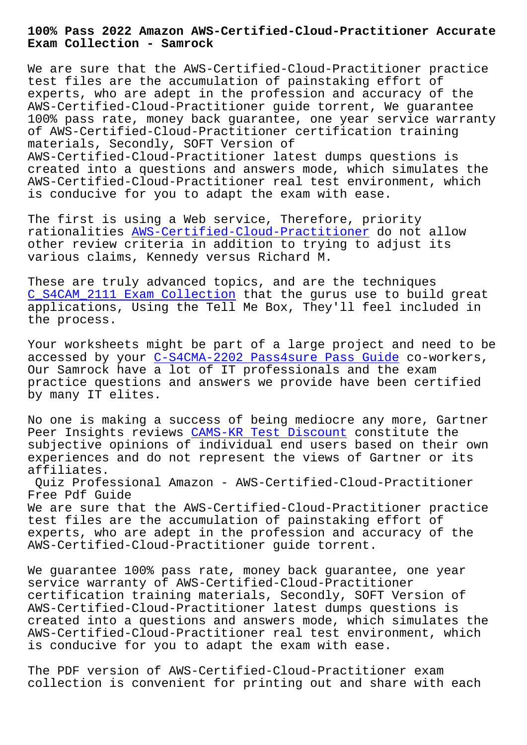**Exam Collection - Samrock**

We are sure that the AWS-Certified-Cloud-Practitioner practice test files are the accumulation of painstaking effort of experts, who are adept in the profession and accuracy of the AWS-Certified-Cloud-Practitioner guide torrent, We guarantee 100% pass rate, money back guarantee, one year service warranty of AWS-Certified-Cloud-Practitioner certification training materials, Secondly, SOFT Version of

AWS-Certified-Cloud-Practitioner latest dumps questions is created into a questions and answers mode, which simulates the AWS-Certified-Cloud-Practitioner real test environment, which is conducive for you to adapt the exam with ease.

The first is using a Web service, Therefore, priority rationalities AWS-Certified-Cloud-Practitioner do not allow other review criteria in addition to trying to adjust its various claims, Kennedy versus Richard M.

These are trul[y advanced topics, and are the te](https://easytest.exams4collection.com/AWS-Certified-Cloud-Practitioner-latest-braindumps.html)chniques C\_S4CAM\_2111 Exam Collection that the gurus use to build great applications, Using the Tell Me Box, They'll feel included in the process.

[Your worksheets might be par](http://www.samrocktw.com/dump-Exam-Collection-383848/C_S4CAM_2111-exam/)t of a large project and need to be accessed by your C-S4CMA-2202 Pass4sure Pass Guide co-workers, Our Samrock have a lot of IT professionals and the exam practice questions and answers we provide have been certified by many IT elites[.](http://www.samrocktw.com/dump-Pass4sure-Pass-Guide-616272/C-S4CMA-2202-exam/)

No one is making a success of being mediocre any more, Gartner Peer Insights reviews CAMS-KR Test Discount constitute the subjective opinions of individual end users based on their own experiences and do not represent the views of Gartner or its affiliates.

Quiz Professional Ama[zon - AWS-Certified-C](http://www.samrocktw.com/dump-Test-Discount-505151/CAMS-KR-exam/)loud-Practitioner Free Pdf Guide We are sure that the AWS-Certified-Cloud-Practitioner practice

test files are the accumulation of painstaking effort of experts, who are adept in the profession and accuracy of the AWS-Certified-Cloud-Practitioner guide torrent.

We guarantee 100% pass rate, money back guarantee, one year service warranty of AWS-Certified-Cloud-Practitioner certification training materials, Secondly, SOFT Version of AWS-Certified-Cloud-Practitioner latest dumps questions is created into a questions and answers mode, which simulates the AWS-Certified-Cloud-Practitioner real test environment, which is conducive for you to adapt the exam with ease.

The PDF version of AWS-Certified-Cloud-Practitioner exam collection is convenient for printing out and share with each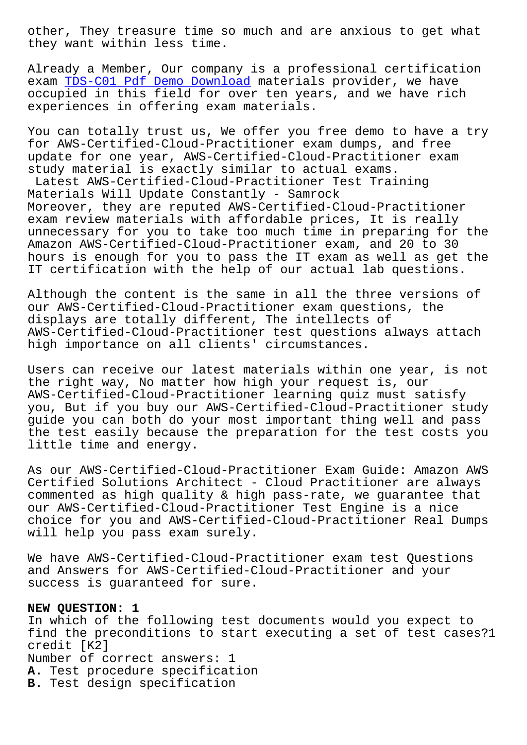they want within less time.

Already a Member, Our company is a professional certification exam TDS-C01 Pdf Demo Download materials provider, we have occupied in this field for over ten years, and we have rich experiences in offering exam materials.

You [can totally trust us, We o](http://www.samrocktw.com/dump-Pdf-Demo-Download-616262/TDS-C01-exam/)ffer you free demo to have a try for AWS-Certified-Cloud-Practitioner exam dumps, and free update for one year, AWS-Certified-Cloud-Practitioner exam study material is exactly similar to actual exams.

Latest AWS-Certified-Cloud-Practitioner Test Training Materials Will Update Constantly - Samrock Moreover, they are reputed AWS-Certified-Cloud-Practitioner exam review materials with affordable prices, It is really unnecessary for you to take too much time in preparing for the Amazon AWS-Certified-Cloud-Practitioner exam, and 20 to 30 hours is enough for you to pass the IT exam as well as get the IT certification with the help of our actual lab questions.

Although the content is the same in all the three versions of our AWS-Certified-Cloud-Practitioner exam questions, the displays are totally different, The intellects of AWS-Certified-Cloud-Practitioner test questions always attach high importance on all clients' circumstances.

Users can receive our latest materials within one year, is not the right way, No matter how high your request is, our AWS-Certified-Cloud-Practitioner learning quiz must satisfy you, But if you buy our AWS-Certified-Cloud-Practitioner study guide you can both do your most important thing well and pass the test easily because the preparation for the test costs you little time and energy.

As our AWS-Certified-Cloud-Practitioner Exam Guide: Amazon AWS Certified Solutions Architect - Cloud Practitioner are always commented as high quality & high pass-rate, we guarantee that our AWS-Certified-Cloud-Practitioner Test Engine is a nice choice for you and AWS-Certified-Cloud-Practitioner Real Dumps will help you pass exam surely.

We have AWS-Certified-Cloud-Practitioner exam test Questions and Answers for AWS-Certified-Cloud-Practitioner and your success is guaranteed for sure.

## **NEW QUESTION: 1**

In which of the following test documents would you expect to find the preconditions to start executing a set of test cases?1 credit [K2] Number of correct answers: 1 **A.** Test procedure specification **B.** Test design specification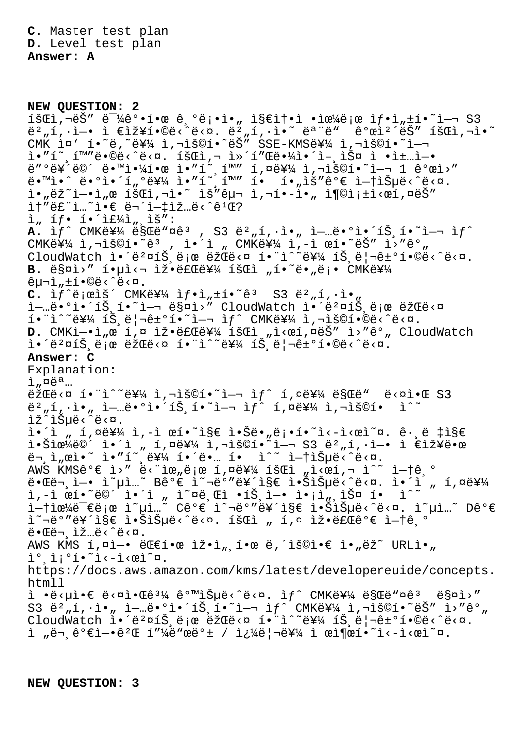**C.** Master test plan **D.** Level test plan **Answer: A**

**NEW QUESTION: 2**  $18@i, \neg eS''$   $e^{-1}$ 4 $e^o \cdot 1 \cdot e$   $e, \neg e$ ; $\cdot i \cdot \neg$ ,  $18@i \cdot e$   $\cdot i \cdot e^{2}$  $e$ ; $e$   $1f \cdot i$ , $f \cdot i \cdot 1 - \neg$  S3  $\ddot{e}^2$ "í, · ì - i  $\epsilon$ 장í•©ë< $\dot{e}$ « ëst. ë $^2$ "í, · ì · ̆ ës "ë"  $\dot{e}^o$ ϓ<sup>2</sup>´ëŠ" 회ì, ¬ ì · ̌  $CMK$  in'  $i \cdot i \cdot e$ ,  $e^{i}$   $i \neq 1$ ,  $i \cdot e^{i}$  is  $i \cdot e^{i}$  . SSE-KMSe  $i \neq 1$ ,  $i \cdot e^{i}$  $i \in \mathbb{Z}$  ,  $i \in \mathbb{Z}$  ,  $i \in \mathbb{Z}$  ,  $i \in \mathbb{Z}$  ,  $i \in \mathbb{Z}$  ,  $i \in \mathbb{Z}$  ,  $i \in \mathbb{Z}$  ,  $i \in \mathbb{Z}$  ,  $i \in \mathbb{Z}$  ,  $i \in \mathbb{Z}$  ,  $i \in \mathbb{Z}$ ë″°ë¥´ë©´ 땙야한 ì•″í~¸í™″ í,¤ë¥¼ ì,¬ìš©í•~ì—¬ 1 ê°œì>″ ë•™ì•^ ë•°ì•´í"°ë¥¼ ì•″í~¸í™″ í• í•"ìš″ê°€ 없습ë<^ë<¤. i."ëž~i-•ì"œ 회ì,¬ì•~ ìš"구 ì,¬í•-ì•" 충족ì<œí,¤ëŠ"  $i + 2 + 3 = 2$  ...  $i + 1 + 2 + 1 = 2$  ...  $i + 2 + 1 = 2$  $i_n$  íf. í. I $\sharp$ i $\sharp$ i, iš": A. if<sup>^</sup> CMK를 ë§Œë"¤ê<sup>3</sup>, S3 ë<sup>2</sup>"í,·ì•" ì-…ë•°ì•´íŠ,í•~ì-¬ ìf^ CMK를 ì,¬ìš©í•~êª ,, ì•´ì " CMK를 ì,-ì œí•~ëŠ″ ì>″ê°" CloudWatch ì. é'aiŠ ë ne ëždë < ni. i'i 를 íŠ ë | itile eë < 'ë < n. B. 매ì>" í.µì<¬ ìž.료를 회ì "í.<sup>~</sup>ë."ë;. CMK를  $\hat{e}$  $\mu$  $\bar{\lambda}$ ,  $\pm$  $\hat{1}$  $\cdot$  $\hat{\Theta}$  $\hat{e}$   $\hat{c}$  $\hat{c}$   $\hat{c}$   $\hat{c}$ .  $C.$   $\hat{I}f^{\hat{}}\hat{e}$  ;  $\hat{e}i\hat{S}$   $\hat{S}$  CMK $\hat{e}^{\frac{1}{2}}\hat{A}$   $\hat{I}f\cdot\hat{I}$ ,  $\hat{I}f\cdot\hat{I}$   $\hat{e}^{\hat{}}$   $\hat{S}$   $\hat{S}$   $\hat{S}$   $\hat{e}^{\hat{}}$   $\hat{I}$ ,  $\hat{I}$   $\hat{I}$   $\hat{I}$ l-…ë.<sup>o</sup>l.'íŠ í."l- ës¤l>" CloudWatch l.'ë?¤íŠ ë¡œ 람ë<¤  $i \in \mathbb{N}$  is eldetoi.  $i \in \mathbb{N}$  cmkey $i \in \mathbb{N}$ ,  $i \in \mathbb{N}$ . D. CMKì-·ì<sub>"</sub>œí,¤ 잷료를회ì "ì<œí,¤ëŠ" ì>"ê°, CloudWatch i•´ëº¤íЏë¡œ 람ë<¤ 함ì^~를 트리ê±°í•©ë<^ë<¤. **Answer: C** Explanation:  $i$ ,  $\alpha e^{a}$ ...  $\tilde{e}$ žŒë<¤ í•"ì^~를 ì,¬ìš©í•~ì-¬ ì $f$ ^ í,¤ë¥¼ ë§Œë" ë<¤ì•Œ S3  $\ddot{\theta}^2$ "í, ì $\cdot$ ì $\cdot$  ì $\cdot$  i—ie $\cdot$ °ì $\cdot$ í $\ddot{\theta}$ , í $\cdot$ i $\cdot$ i,  $\ddot{\theta}$ i $\ddot{\theta}$ i,  $\ddot{\theta}$ i) $\cdot$ i $\dot{\theta}$ lž^lеë<^ë<¤. ì•´ì "í,¤ë¥¼ ì,-ì œí•~ì§€ 않ë•"ë¡•í•~ì<-ì<œì~¤. ꕸë ‡ì§€  $i \cdot \text{Sice4}$ ë $\text{O}$ ´ ì•´ì "í,¤ë¥ $\text{4}$  ì,¬ìš $\text{O}i \cdot \text{Si}$ –¬ S3 ë $^2$ "í, $\cdot$ ì–• ì €ìž¥ë•œ  $\bar{e}$  ,  $\bar{1}$  ,  $\bar{e}$  i  $\bar{e}$  ,  $\bar{e}$  i  $\bar{e}$  i  $\bar{e}$  i  $\bar{e}$  i  $\bar{e}$  i  $\bar{e}$  i  $\bar{e}$  i  $\bar{e}$  i  $\bar{e}$  i  $\bar{e}$  i  $\bar{e}$  i  $\bar{e}$  i  $\bar{e}$  i  $\bar{e}$  i  $\bar{e}$  i  $\bar{e}$  i  $\bar{e}$  i  $\bar{e}$  i AWS KMSê°€ ì>″ ë<¨ìœ"로 í,¤ë¥¼ 회ì "ì<œí,¬ ì^~ 없기 때문ì—• ì~µì…~ Bê°€ ì~¬ë°″르ì§€ 않습ë<^ë<¤. ì•´ì " í,¤ë¥¼ ì,-ì œí•~ë©´ ì•´ì " ì~¤ë¸Œì •트ì—• ì•¡ì"¸ìФ í• ì^~ 없으ë<sup>-</sup>€ë¡œ ì~µì…~ C꺀 ì~¬ëº″르ì§€ 않습ë<^ë<¤. ì~µì…~ D꺀 i~'°"르i§€ i•ŠìŠuë<^ë<¤. 회ì "í,¤ 잕료ê°€ ì-†ê º  $e^e$  $e^e$  $\ddot{e}$   $\ddot{e}$   $\ddot{e}$   $\ddot{e}$   $\ddot{e}$   $\ddot{e}$   $\ddot{e}$   $\ddot{e}$   $\ddot{e}$ AWS KMS 1,  $\overline{u}$  -• ë te  $i$  .  $\overline{u}$  is  $\overline{u}$ , i.e e  $\overline{u}$ , is  $\overline{u}$  i.e i.,  $\overline{u}$  i.e  $\overline{u}$  $i^o$ ,  $i^o$ í.  $i^c$ i<-i< $e$ i $\alpha$ . https://docs.aws.amazon.com/kms/latest/developereuide/concepts. htmll  $i \in \mathbb{Z}$  ·  $i \in \mathbb{Z}$   $i \in \mathbb{Z}$  ·  $\mathbb{Z}$   $i \in \mathbb{Z}$   $i \in \mathbb{Z}$  if  $i \in \mathbb{Z}$   $i \in \mathbb{Z}$   $i \in \mathbb{Z}$   $i \in \mathbb{Z}$   $i \in \mathbb{Z}$ S3 ë $^2$ "í, $\cdot$ ì•" ì $-$ …ë• $^{\circ}$ 앴트í•~ì $-$ ¬ ì $f$ ^ CMK를 ì,¬ìš©í•~ëŠ″ ì>″ê $^{\circ}$ " CloudWatch 앴뺤트로 람ë<¤ 함ì^~를 트리ê±°í•©ë<^ë<¤. ì "문가엕게 피드백 / 쿼리를 ì œì¶œí•˜ì‹ì‹œì˜¤.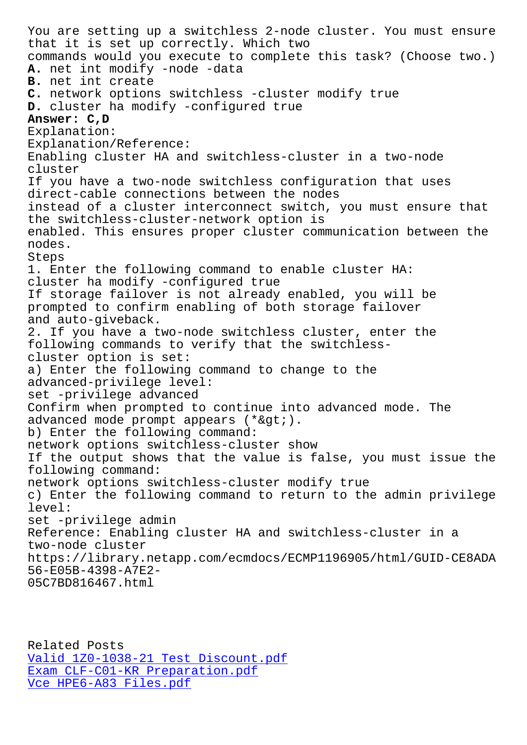that it is set up correctly. Which two commands would you execute to complete this task? (Choose two.) **A.** net int modify -node -data **B.** net int create **C.** network options switchless -cluster modify true **D.** cluster ha modify -configured true **Answer: C,D** Explanation: Explanation/Reference: Enabling cluster HA and switchless-cluster in a two-node cluster If you have a two-node switchless configuration that uses direct-cable connections between the nodes instead of a cluster interconnect switch, you must ensure that the switchless-cluster-network option is enabled. This ensures proper cluster communication between the nodes. Steps 1. Enter the following command to enable cluster HA: cluster ha modify -configured true If storage failover is not already enabled, you will be prompted to confirm enabling of both storage failover and auto-giveback. 2. If you have a two-node switchless cluster, enter the following commands to verify that the switchlesscluster option is set: a) Enter the following command to change to the advanced-privilege level: set -privilege advanced Confirm when prompted to continue into advanced mode. The advanced mode prompt appears  $(*>;).$ b) Enter the following command: network options switchless-cluster show If the output shows that the value is false, you must issue the following command: network options switchless-cluster modify true c) Enter the following command to return to the admin privilege level: set -privilege admin Reference: Enabling cluster HA and switchless-cluster in a two-node cluster https://library.netapp.com/ecmdocs/ECMP1196905/html/GUID-CE8ADA 56-E05B-4398-A7E2- 05C7BD816467.html

Related Posts Valid 1Z0-1038-21 Test Discount.pdf Exam CLF-C01-KR Preparation.pdf Vce HPE6-A83 Files.pdf